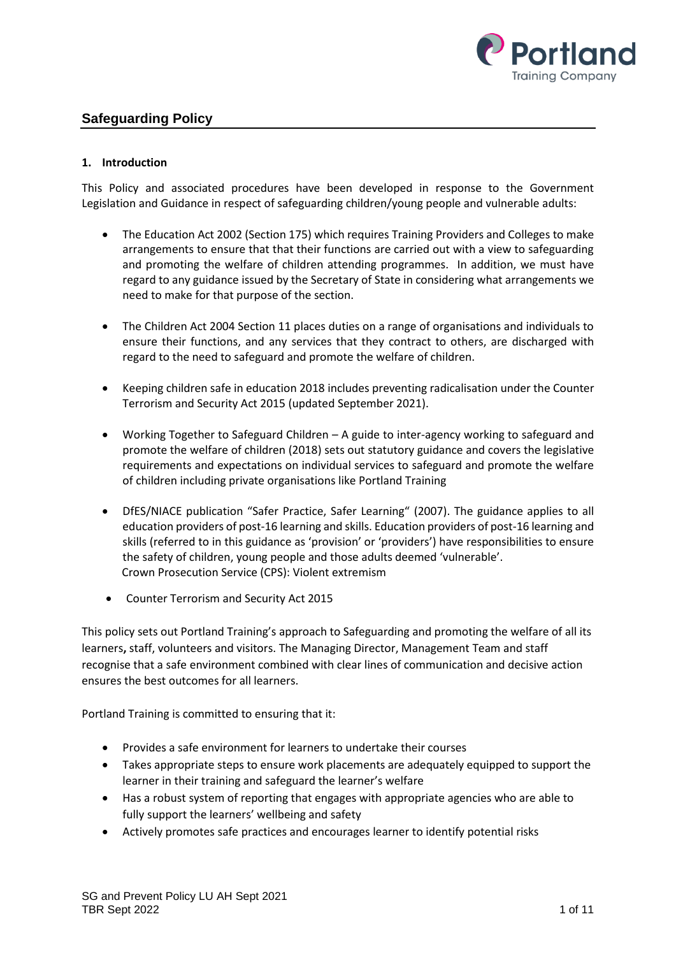

# **Safeguarding Policy**

### **1. Introduction**

This Policy and associated procedures have been developed in response to the Government Legislation and Guidance in respect of safeguarding children/young people and vulnerable adults:

- The Education Act 2002 (Section 175) which requires Training Providers and Colleges to make arrangements to ensure that that their functions are carried out with a view to safeguarding and promoting the welfare of children attending programmes. In addition, we must have regard to any guidance issued by the Secretary of State in considering what arrangements we need to make for that purpose of the section.
- The Children Act 2004 Section 11 places duties on a range of organisations and individuals to ensure their functions, and any services that they contract to others, are discharged with regard to the need to safeguard and promote the welfare of children.
- Keeping children safe in education 2018 includes preventing radicalisation under the Counter Terrorism and Security Act 2015 (updated September 2021).
- Working Together to Safeguard Children A guide to inter-agency working to safeguard and promote the welfare of children (2018) sets out statutory guidance and covers the legislative requirements and expectations on individual services to safeguard and promote the welfare of children including private organisations like Portland Training
- DfES/NIACE publication "Safer Practice, Safer Learning" (2007). The guidance applies to all education providers of post-16 learning and skills. Education providers of post-16 learning and skills (referred to in this guidance as 'provision' or 'providers') have responsibilities to ensure the safety of children, young people and those adults deemed 'vulnerable'. Crown Prosecution Service (CPS): Violent extremism
- Counter Terrorism and Security Act 2015

This policy sets out Portland Training's approach to Safeguarding and promoting the welfare of all its learners**,** staff, volunteers and visitors. The Managing Director, Management Team and staff recognise that a safe environment combined with clear lines of communication and decisive action ensures the best outcomes for all learners.

Portland Training is committed to ensuring that it:

- Provides a safe environment for learners to undertake their courses
- Takes appropriate steps to ensure work placements are adequately equipped to support the learner in their training and safeguard the learner's welfare
- Has a robust system of reporting that engages with appropriate agencies who are able to fully support the learners' wellbeing and safety
- Actively promotes safe practices and encourages learner to identify potential risks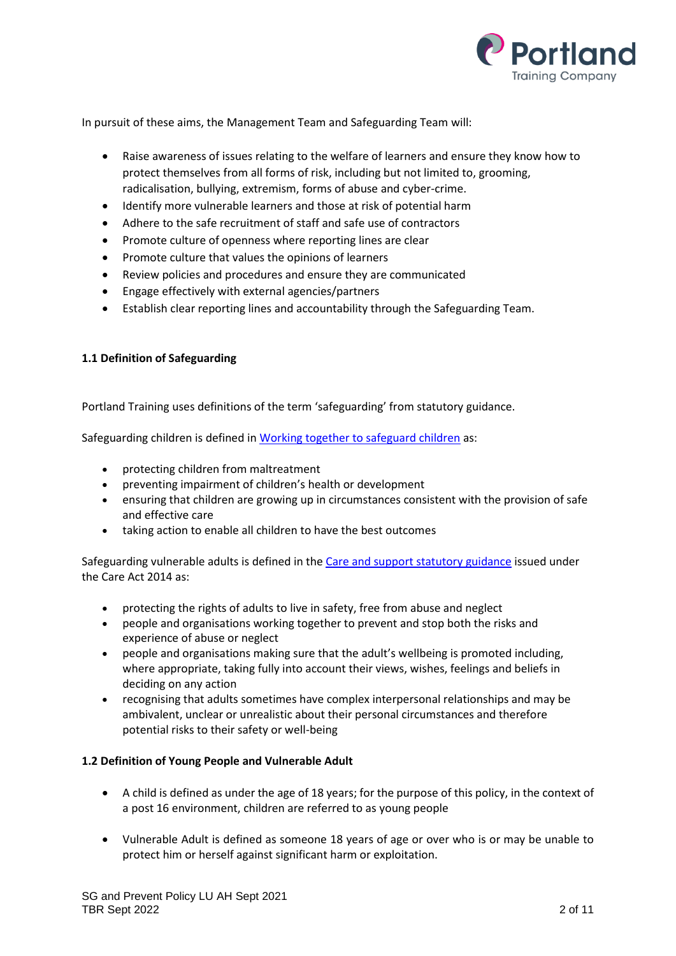

In pursuit of these aims, the Management Team and Safeguarding Team will:

- Raise awareness of issues relating to the welfare of learners and ensure they know how to protect themselves from all forms of risk, including but not limited to, grooming, radicalisation, bullying, extremism, forms of abuse and cyber-crime.
- Identify more vulnerable learners and those at risk of potential harm
- Adhere to the safe recruitment of staff and safe use of contractors
- Promote culture of openness where reporting lines are clear
- Promote culture that values the opinions of learners
- Review policies and procedures and ensure they are communicated
- Engage effectively with external agencies/partners
- Establish clear reporting lines and accountability through the Safeguarding Team.

#### **1.1 Definition of Safeguarding**

Portland Training uses definitions of the term 'safeguarding' from statutory guidance.

Safeguarding children is defined i[n Working together to safeguard children](https://www.gov.uk/government/publications/working-together-to-safeguard-children--2) as:

- protecting children from maltreatment
- preventing impairment of children's health or development
- ensuring that children are growing up in circumstances consistent with the provision of safe and effective care
- taking action to enable all children to have the best outcomes

Safeguarding vulnerable adults is defined in the [Care and support statutory guidance](https://www.gov.uk/government/publications/care-act-statutory-guidance) issued under the Care Act 2014 as:

- protecting the rights of adults to live in safety, free from abuse and neglect
- people and organisations working together to prevent and stop both the risks and experience of abuse or neglect
- people and organisations making sure that the adult's wellbeing is promoted including, where appropriate, taking fully into account their views, wishes, feelings and beliefs in deciding on any action
- recognising that adults sometimes have complex interpersonal relationships and may be ambivalent, unclear or unrealistic about their personal circumstances and therefore potential risks to their safety or well-being

#### **1.2 Definition of Young People and Vulnerable Adult**

- A child is defined as under the age of 18 years; for the purpose of this policy, in the context of a post 16 environment, children are referred to as young people
- Vulnerable Adult is defined as someone 18 years of age or over who is or may be unable to protect him or herself against significant harm or exploitation.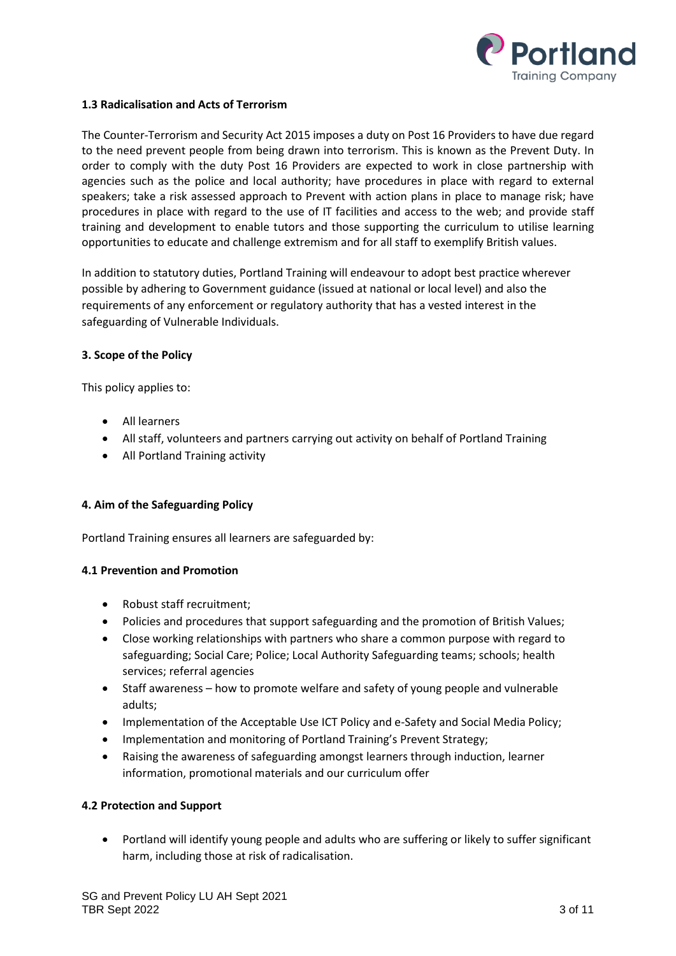

### **1.3 Radicalisation and Acts of Terrorism**

The Counter-Terrorism and Security Act 2015 imposes a duty on Post 16 Providers to have due regard to the need prevent people from being drawn into terrorism. This is known as the Prevent Duty. In order to comply with the duty Post 16 Providers are expected to work in close partnership with agencies such as the police and local authority; have procedures in place with regard to external speakers; take a risk assessed approach to Prevent with action plans in place to manage risk; have procedures in place with regard to the use of IT facilities and access to the web; and provide staff training and development to enable tutors and those supporting the curriculum to utilise learning opportunities to educate and challenge extremism and for all staff to exemplify British values.

In addition to statutory duties, Portland Training will endeavour to adopt best practice wherever possible by adhering to Government guidance (issued at national or local level) and also the requirements of any enforcement or regulatory authority that has a vested interest in the safeguarding of Vulnerable Individuals.

#### **3. Scope of the Policy**

This policy applies to:

- All learners
- All staff, volunteers and partners carrying out activity on behalf of Portland Training
- All Portland Training activity

# **4. Aim of the Safeguarding Policy**

Portland Training ensures all learners are safeguarded by:

#### **4.1 Prevention and Promotion**

- Robust staff recruitment;
- Policies and procedures that support safeguarding and the promotion of British Values;
- Close working relationships with partners who share a common purpose with regard to safeguarding; Social Care; Police; Local Authority Safeguarding teams; schools; health services; referral agencies
- Staff awareness how to promote welfare and safety of young people and vulnerable adults;
- Implementation of the Acceptable Use ICT Policy and e-Safety and Social Media Policy;
- Implementation and monitoring of Portland Training's Prevent Strategy;
- Raising the awareness of safeguarding amongst learners through induction, learner information, promotional materials and our curriculum offer

#### **4.2 Protection and Support**

• Portland will identify young people and adults who are suffering or likely to suffer significant harm, including those at risk of radicalisation.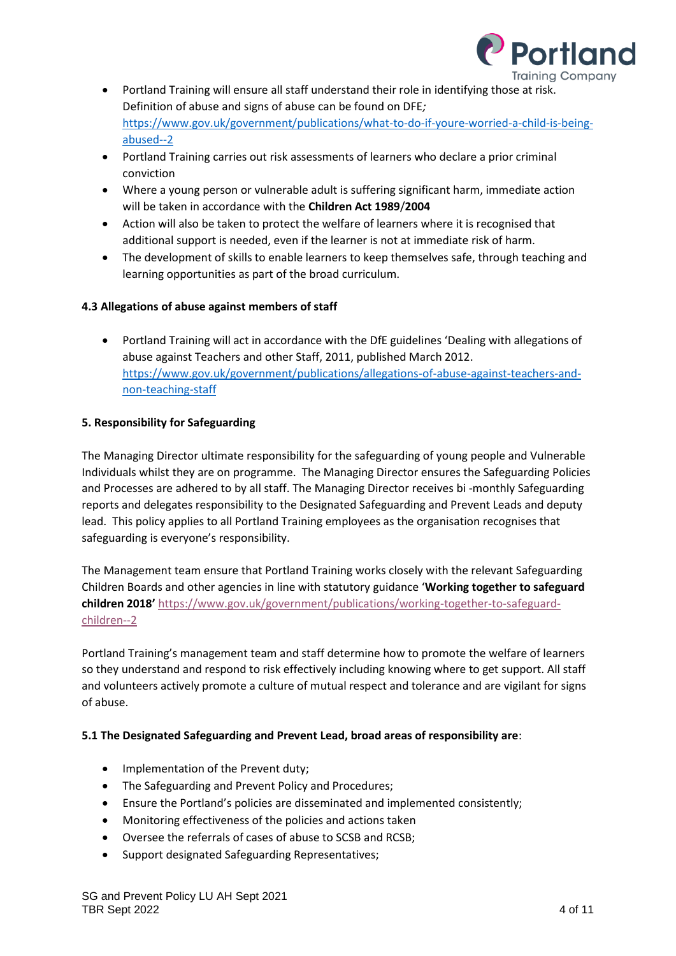

- Portland Training will ensure all staff understand their role in identifying those at risk. Definition of abuse and signs of abuse can be found on DFE*;* [https://www.gov.uk/government/publications/what-to-do-if-youre-worried-a-child-is-being](https://www.gov.uk/government/publications/what-to-do-if-youre-worried-a-child-is-being-abused--2)[abused--2](https://www.gov.uk/government/publications/what-to-do-if-youre-worried-a-child-is-being-abused--2)
- Portland Training carries out risk assessments of learners who declare a prior criminal conviction
- Where a young person or vulnerable adult is suffering significant harm, immediate action will be taken in accordance with the **Children Act 1989**/**2004**
- Action will also be taken to protect the welfare of learners where it is recognised that additional support is needed, even if the learner is not at immediate risk of harm.
- The development of skills to enable learners to keep themselves safe, through teaching and learning opportunities as part of the broad curriculum.

# **4.3 Allegations of abuse against members of staff**

• Portland Training will act in accordance with the DfE guidelines 'Dealing with allegations of abuse against Teachers and other Staff, 2011, published March 2012. [https://www.gov.uk/government/publications/allegations-of-abuse-against-teachers-and](https://www.gov.uk/government/publications/allegations-of-abuse-against-teachers-and-non-teaching-staff)[non-teaching-staff](https://www.gov.uk/government/publications/allegations-of-abuse-against-teachers-and-non-teaching-staff)

# **5. Responsibility for Safeguarding**

The Managing Director ultimate responsibility for the safeguarding of young people and Vulnerable Individuals whilst they are on programme. The Managing Director ensures the Safeguarding Policies and Processes are adhered to by all staff. The Managing Director receives bi -monthly Safeguarding reports and delegates responsibility to the Designated Safeguarding and Prevent Leads and deputy lead. This policy applies to all Portland Training employees as the organisation recognises that safeguarding is everyone's responsibility.

The Management team ensure that Portland Training works closely with the relevant Safeguarding Children Boards and other agencies in line with statutory guidance '**Working together to safeguard children 2018'** [https://www.gov.uk/government/publications/working-together-to-safeguard](https://www.gov.uk/government/publications/working-together-to-safeguard-children--2)[children--2](https://www.gov.uk/government/publications/working-together-to-safeguard-children--2)

Portland Training's management team and staff determine how to promote the welfare of learners so they understand and respond to risk effectively including knowing where to get support. All staff and volunteers actively promote a culture of mutual respect and tolerance and are vigilant for signs of abuse.

# **5.1 The Designated Safeguarding and Prevent Lead, broad areas of responsibility are**:

- Implementation of the Prevent duty;
- The Safeguarding and Prevent Policy and Procedures;
- Ensure the Portland's policies are disseminated and implemented consistently;
- Monitoring effectiveness of the policies and actions taken
- Oversee the referrals of cases of abuse to SCSB and RCSB;
- Support designated Safeguarding Representatives;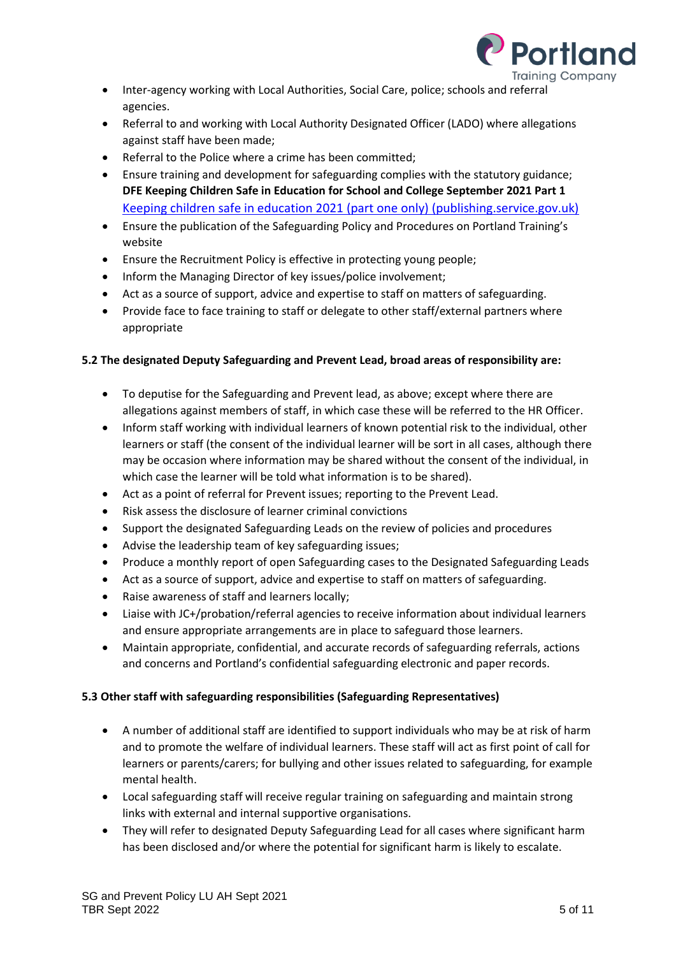

- Inter-agency working with Local Authorities, Social Care, police; schools and referral agencies.
- Referral to and working with Local Authority Designated Officer (LADO) where allegations against staff have been made;
- Referral to the Police where a crime has been committed;
- Ensure training and development for safeguarding complies with the statutory guidance; **DFE Keeping Children Safe in Education for School and College September 2021 Part 1**  [Keeping children safe in education 2021 \(part one only\) \(publishing.service.gov.uk\)](https://assets.publishing.service.gov.uk/government/uploads/system/uploads/attachment_data/file/1014058/KCSIE_2021_Part_One_September.pdf)
- Ensure the publication of the Safeguarding Policy and Procedures on Portland Training's website
- Ensure the Recruitment Policy is effective in protecting young people;
- Inform the Managing Director of key issues/police involvement;
- Act as a source of support, advice and expertise to staff on matters of safeguarding.
- Provide face to face training to staff or delegate to other staff/external partners where appropriate

# **5.2 The designated Deputy Safeguarding and Prevent Lead, broad areas of responsibility are:**

- To deputise for the Safeguarding and Prevent lead, as above; except where there are allegations against members of staff, in which case these will be referred to the HR Officer.
- Inform staff working with individual learners of known potential risk to the individual, other learners or staff (the consent of the individual learner will be sort in all cases, although there may be occasion where information may be shared without the consent of the individual, in which case the learner will be told what information is to be shared).
- Act as a point of referral for Prevent issues; reporting to the Prevent Lead.
- Risk assess the disclosure of learner criminal convictions
- Support the designated Safeguarding Leads on the review of policies and procedures
- Advise the leadership team of key safeguarding issues;
- Produce a monthly report of open Safeguarding cases to the Designated Safeguarding Leads
- Act as a source of support, advice and expertise to staff on matters of safeguarding.
- Raise awareness of staff and learners locally;
- Liaise with JC+/probation/referral agencies to receive information about individual learners and ensure appropriate arrangements are in place to safeguard those learners.
- Maintain appropriate, confidential, and accurate records of safeguarding referrals, actions and concerns and Portland's confidential safeguarding electronic and paper records.

# **5.3 Other staff with safeguarding responsibilities (Safeguarding Representatives)**

- A number of additional staff are identified to support individuals who may be at risk of harm and to promote the welfare of individual learners. These staff will act as first point of call for learners or parents/carers; for bullying and other issues related to safeguarding, for example mental health.
- Local safeguarding staff will receive regular training on safeguarding and maintain strong links with external and internal supportive organisations.
- They will refer to designated Deputy Safeguarding Lead for all cases where significant harm has been disclosed and/or where the potential for significant harm is likely to escalate.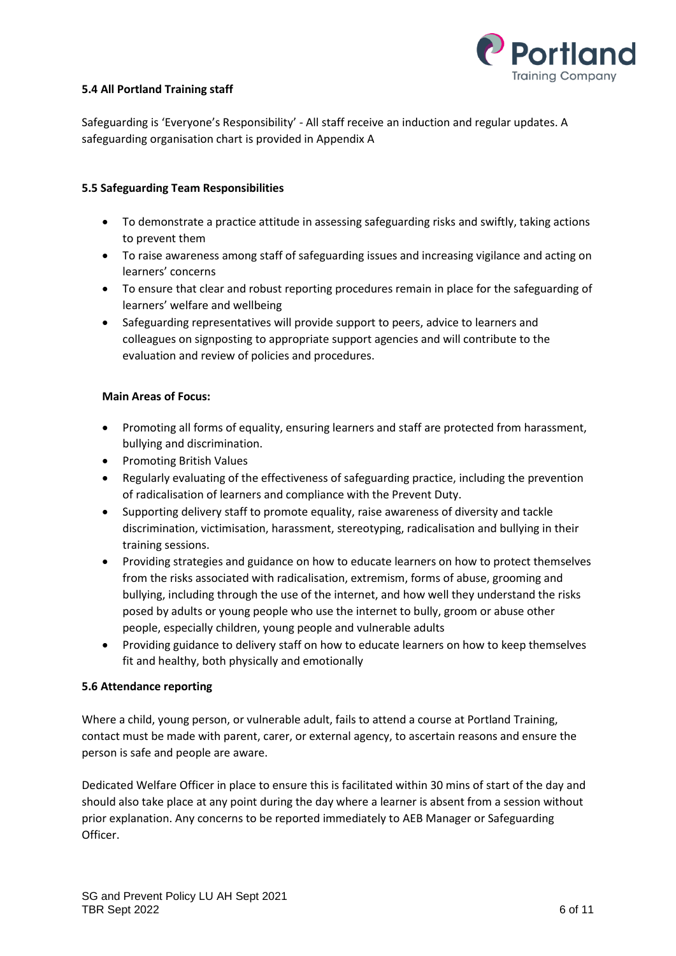

### **5.4 All Portland Training staff**

Safeguarding is 'Everyone's Responsibility' - All staff receive an induction and regular updates. A safeguarding organisation chart is provided in Appendix A

### **5.5 Safeguarding Team Responsibilities**

- To demonstrate a practice attitude in assessing safeguarding risks and swiftly, taking actions to prevent them
- To raise awareness among staff of safeguarding issues and increasing vigilance and acting on learners' concerns
- To ensure that clear and robust reporting procedures remain in place for the safeguarding of learners' welfare and wellbeing
- Safeguarding representatives will provide support to peers, advice to learners and colleagues on signposting to appropriate support agencies and will contribute to the evaluation and review of policies and procedures.

#### **Main Areas of Focus:**

- Promoting all forms of equality, ensuring learners and staff are protected from harassment, bullying and discrimination.
- Promoting British Values
- Regularly evaluating of the effectiveness of safeguarding practice, including the prevention of radicalisation of learners and compliance with the Prevent Duty.
- Supporting delivery staff to promote equality, raise awareness of diversity and tackle discrimination, victimisation, harassment, stereotyping, radicalisation and bullying in their training sessions.
- Providing strategies and guidance on how to educate learners on how to protect themselves from the risks associated with radicalisation, extremism, forms of abuse, grooming and bullying, including through the use of the internet, and how well they understand the risks posed by adults or young people who use the internet to bully, groom or abuse other people, especially children, young people and vulnerable adults
- Providing guidance to delivery staff on how to educate learners on how to keep themselves fit and healthy, both physically and emotionally

#### **5.6 Attendance reporting**

Where a child, young person, or vulnerable adult, fails to attend a course at Portland Training, contact must be made with parent, carer, or external agency, to ascertain reasons and ensure the person is safe and people are aware.

Dedicated Welfare Officer in place to ensure this is facilitated within 30 mins of start of the day and should also take place at any point during the day where a learner is absent from a session without prior explanation. Any concerns to be reported immediately to AEB Manager or Safeguarding Officer.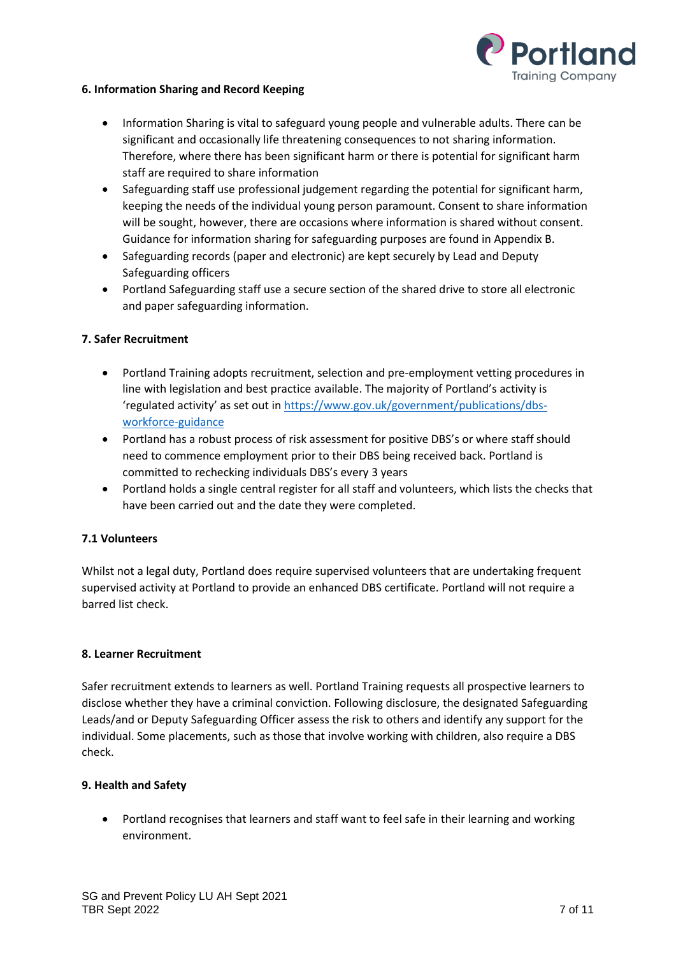

#### **6. Information Sharing and Record Keeping**

- Information Sharing is vital to safeguard young people and vulnerable adults. There can be significant and occasionally life threatening consequences to not sharing information. Therefore, where there has been significant harm or there is potential for significant harm staff are required to share information
- Safeguarding staff use professional judgement regarding the potential for significant harm, keeping the needs of the individual young person paramount. Consent to share information will be sought, however, there are occasions where information is shared without consent. Guidance for information sharing for safeguarding purposes are found in Appendix B.
- Safeguarding records (paper and electronic) are kept securely by Lead and Deputy Safeguarding officers
- Portland Safeguarding staff use a secure section of the shared drive to store all electronic and paper safeguarding information.

### **7. Safer Recruitment**

- Portland Training adopts recruitment, selection and pre-employment vetting procedures in line with legislation and best practice available. The majority of Portland's activity is 'regulated activity' as set out in [https://www.gov.uk/government/publications/dbs](https://www.gov.uk/government/publications/dbs-workforce-guidance)[workforce-guidance](https://www.gov.uk/government/publications/dbs-workforce-guidance)
- Portland has a robust process of risk assessment for positive DBS's or where staff should need to commence employment prior to their DBS being received back. Portland is committed to rechecking individuals DBS's every 3 years
- Portland holds a single central register for all staff and volunteers, which lists the checks that have been carried out and the date they were completed.

#### **7.1 Volunteers**

Whilst not a legal duty, Portland does require supervised volunteers that are undertaking frequent supervised activity at Portland to provide an enhanced DBS certificate. Portland will not require a barred list check.

#### **8. Learner Recruitment**

Safer recruitment extends to learners as well. Portland Training requests all prospective learners to disclose whether they have a criminal conviction. Following disclosure, the designated Safeguarding Leads/and or Deputy Safeguarding Officer assess the risk to others and identify any support for the individual. Some placements, such as those that involve working with children, also require a DBS check.

#### **9. Health and Safety**

• Portland recognises that learners and staff want to feel safe in their learning and working environment.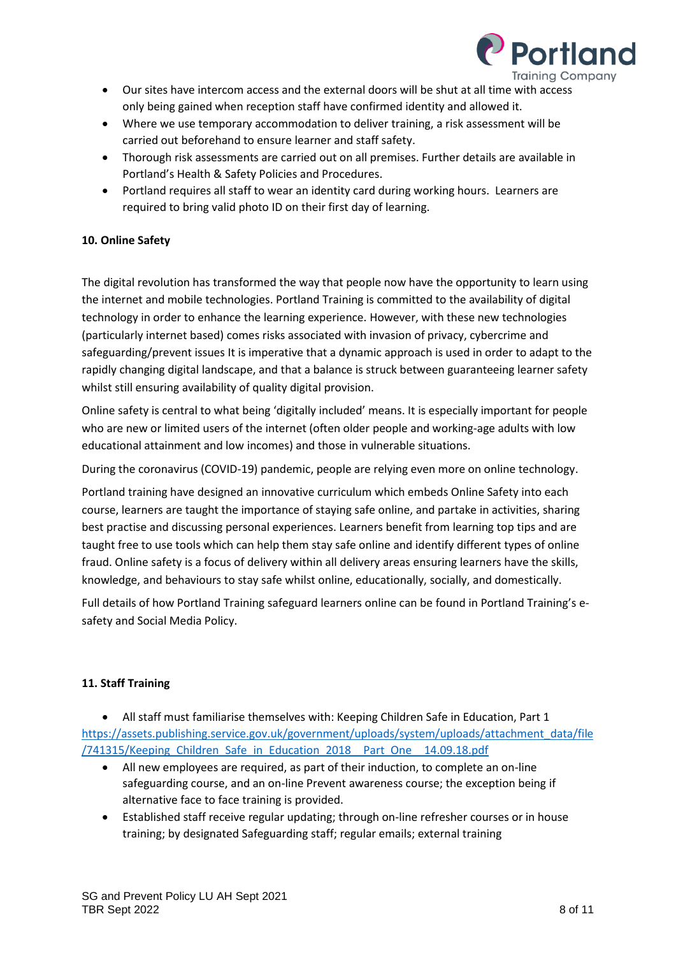

- Our sites have intercom access and the external doors will be shut at all time with access only being gained when reception staff have confirmed identity and allowed it.
- Where we use temporary accommodation to deliver training, a risk assessment will be carried out beforehand to ensure learner and staff safety.
- Thorough risk assessments are carried out on all premises. Further details are available in Portland's Health & Safety Policies and Procedures.
- Portland requires all staff to wear an identity card during working hours. Learners are required to bring valid photo ID on their first day of learning.

# **10. Online Safety**

The digital revolution has transformed the way that people now have the opportunity to learn using the internet and mobile technologies. Portland Training is committed to the availability of digital technology in order to enhance the learning experience. However, with these new technologies (particularly internet based) comes risks associated with invasion of privacy, cybercrime and safeguarding/prevent issues It is imperative that a dynamic approach is used in order to adapt to the rapidly changing digital landscape, and that a balance is struck between guaranteeing learner safety whilst still ensuring availability of quality digital provision.

Online safety is central to what being 'digitally included' means. It is especially important for people who are new or limited users of the internet (often older people and working-age adults with low educational attainment and low incomes) and those in vulnerable situations.

During the coronavirus (COVID-19) pandemic, people are relying even more on online technology.

Portland training have designed an innovative curriculum which embeds Online Safety into each course, learners are taught the importance of staying safe online, and partake in activities, sharing best practise and discussing personal experiences. Learners benefit from learning top tips and are taught free to use tools which can help them stay safe online and identify different types of online fraud. Online safety is a focus of delivery within all delivery areas ensuring learners have the skills, knowledge, and behaviours to stay safe whilst online, educationally, socially, and domestically.

Full details of how Portland Training safeguard learners online can be found in Portland Training's esafety and Social Media Policy.

# **11. Staff Training**

• All staff must familiarise themselves with: Keeping Children Safe in Education, Part 1 [https://assets.publishing.service.gov.uk/government/uploads/system/uploads/attachment\\_data/file](https://assets.publishing.service.gov.uk/government/uploads/system/uploads/attachment_data/file/741315/Keeping_Children_Safe_in_Education_2018__Part_One__14.09.18.pdf) /741315/Keeping Children Safe in Education 2018 Part One 14.09.18.pdf

- All new employees are required, as part of their induction, to complete an on-line safeguarding course, and an on-line Prevent awareness course; the exception being if alternative face to face training is provided.
- Established staff receive regular updating; through on-line refresher courses or in house training; by designated Safeguarding staff; regular emails; external training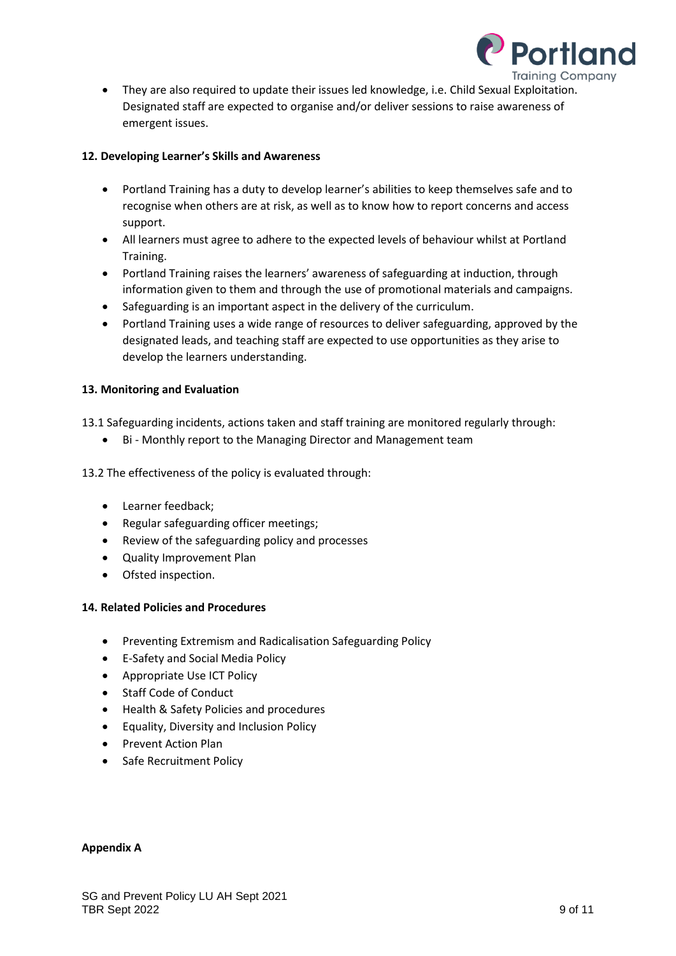

• They are also required to update their issues led knowledge, i.e. Child Sexual Exploitation. Designated staff are expected to organise and/or deliver sessions to raise awareness of emergent issues.

### **12. Developing Learner's Skills and Awareness**

- Portland Training has a duty to develop learner's abilities to keep themselves safe and to recognise when others are at risk, as well as to know how to report concerns and access support.
- All learners must agree to adhere to the expected levels of behaviour whilst at Portland Training.
- Portland Training raises the learners' awareness of safeguarding at induction, through information given to them and through the use of promotional materials and campaigns.
- Safeguarding is an important aspect in the delivery of the curriculum.
- Portland Training uses a wide range of resources to deliver safeguarding, approved by the designated leads, and teaching staff are expected to use opportunities as they arise to develop the learners understanding.

### **13. Monitoring and Evaluation**

13.1 Safeguarding incidents, actions taken and staff training are monitored regularly through:

• Bi - Monthly report to the Managing Director and Management team

13.2 The effectiveness of the policy is evaluated through:

- Learner feedback;
- Regular safeguarding officer meetings;
- Review of the safeguarding policy and processes
- Quality Improvement Plan
- Ofsted inspection.

#### **14. Related Policies and Procedures**

- Preventing Extremism and Radicalisation Safeguarding Policy
- E-Safety and Social Media Policy
- Appropriate Use ICT Policy
- Staff Code of Conduct
- Health & Safety Policies and procedures
- Equality, Diversity and Inclusion Policy
- Prevent Action Plan
- Safe Recruitment Policy

#### **Appendix A**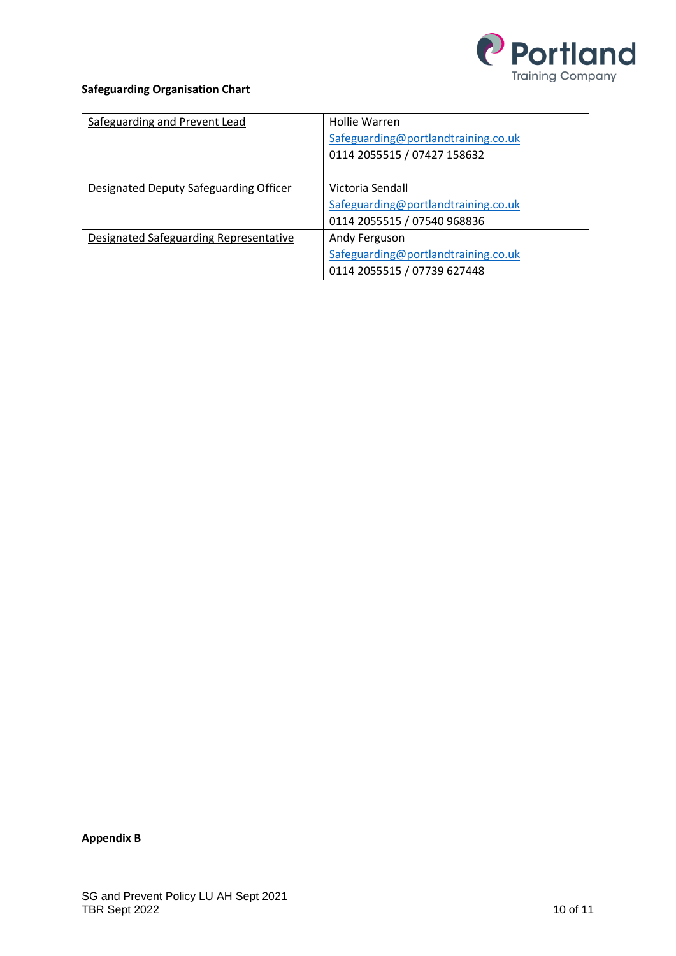

# **Safeguarding Organisation Chart**

| Safeguarding and Prevent Lead          | Hollie Warren                       |
|----------------------------------------|-------------------------------------|
|                                        | Safeguarding@portlandtraining.co.uk |
|                                        | 0114 2055515 / 07427 158632         |
|                                        |                                     |
| Designated Deputy Safeguarding Officer | Victoria Sendall                    |
|                                        | Safeguarding@portlandtraining.co.uk |
|                                        | 0114 2055515 / 07540 968836         |
| Designated Safeguarding Representative | Andy Ferguson                       |
|                                        | Safeguarding@portlandtraining.co.uk |
|                                        | 0114 2055515 / 07739 627448         |

**Appendix B**